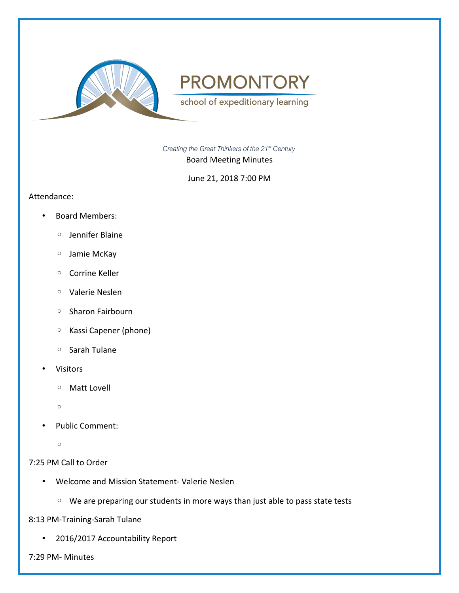

school of expeditionary learning

*Creating the Great Thinkers of the 21st Century*

Board Meeting Minutes

June 21, 2018 7:00 PM

#### Attendance:

- Board Members:
	- Jennifer Blaine
	- Jamie McKay
	- Corrine Keller
	- Valerie Neslen
	- Sharon Fairbourn
	- Kassi Capener (phone)
	- Sarah Tulane
- Visitors
	- Matt Lovell
	- $\circ$
- Public Comment:
	- $\circ$

### 7:25 PM Call to Order

- Welcome and Mission Statement- Valerie Neslen
	- We are preparing our students in more ways than just able to pass state tests

8:13 PM-Training-Sarah Tulane

• 2016/2017 Accountability Report

7:29 PM- Minutes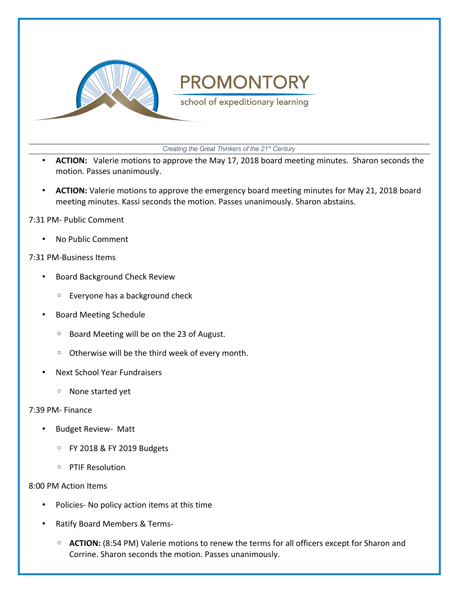

school of expeditionary learning

*Creating the Great Thinkers of the 21st Century*

- **ACTION:** Valerie motions to approve the May 17, 2018 board meeting minutes. Sharon seconds the motion. Passes unanimously.
- **ACTION:** Valerie motions to approve the emergency board meeting minutes for May 21, 2018 board meeting minutes. Kassi seconds the motion. Passes unanimously. Sharon abstains.

#### 7:31 PM- Public Comment

• No Public Comment

#### 7:31 PM-Business Items

- Board Background Check Review
	- Everyone has a background check
- Board Meeting Schedule
	- Board Meeting will be on the 23 of August.
	- Otherwise will be the third week of every month.
- Next School Year Fundraisers
	- None started yet

#### 7:39 PM- Finance

- Budget Review- Matt
	- FY 2018 & FY 2019 Budgets
	- PTIF Resolution

#### 8:00 PM Action Items

- Policies- No policy action items at this time
- Ratify Board Members & Terms-
	- **ACTION:** (8:54 PM) Valerie motions to renew the terms for all officers except for Sharon and Corrine. Sharon seconds the motion. Passes unanimously.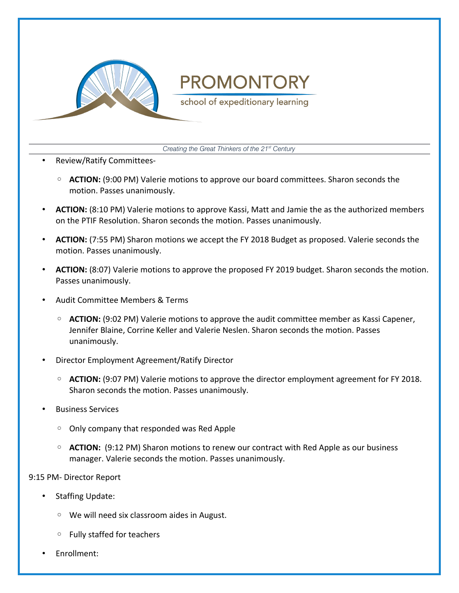

school of expeditionary learning

*Creating the Great Thinkers of the 21st Century*

- Review/Ratify Committees-
	- **ACTION:** (9:00 PM) Valerie motions to approve our board committees. Sharon seconds the motion. Passes unanimously.
- **ACTION:** (8:10 PM) Valerie motions to approve Kassi, Matt and Jamie the as the authorized members on the PTIF Resolution. Sharon seconds the motion. Passes unanimously.
- **ACTION:** (7:55 PM) Sharon motions we accept the FY 2018 Budget as proposed. Valerie seconds the motion. Passes unanimously.
- **ACTION:** (8:07) Valerie motions to approve the proposed FY 2019 budget. Sharon seconds the motion. Passes unanimously.
- Audit Committee Members & Terms
	- **ACTION:** (9:02 PM) Valerie motions to approve the audit committee member as Kassi Capener, Jennifer Blaine, Corrine Keller and Valerie Neslen. Sharon seconds the motion. Passes unanimously.
- Director Employment Agreement/Ratify Director
	- **ACTION:** (9:07 PM) Valerie motions to approve the director employment agreement for FY 2018. Sharon seconds the motion. Passes unanimously.
- Business Services
	- Only company that responded was Red Apple
	- **ACTION:** (9:12 PM) Sharon motions to renew our contract with Red Apple as our business manager. Valerie seconds the motion. Passes unanimously.

9:15 PM- Director Report

- Staffing Update:
	- We will need six classroom aides in August.
	- Fully staffed for teachers
- Enrollment: